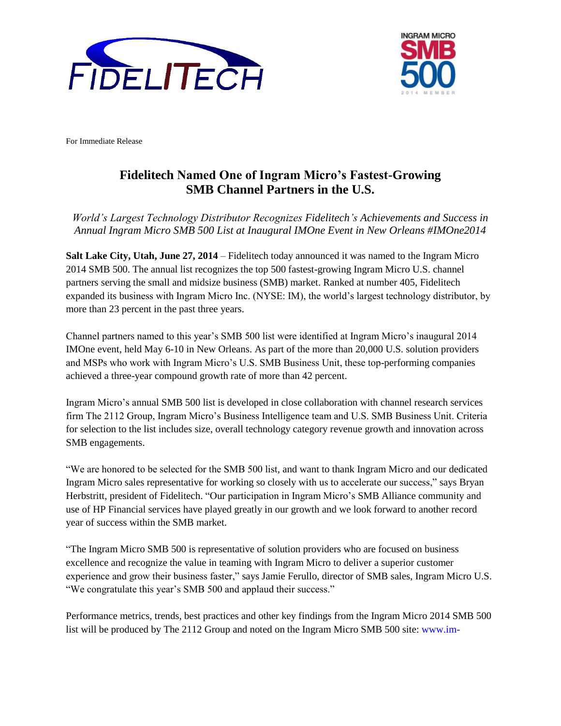



For Immediate Release

## **Fidelitech Named One of Ingram Micro's Fastest-Growing SMB Channel Partners in the U.S.**

*World's Largest Technology Distributor Recognizes Fidelitech's Achievements and Success in Annual Ingram Micro SMB 500 List at Inaugural IMOne Event in New Orleans #IMOne2014*

**Salt Lake City, Utah, June 27, 2014** – Fidelitech today announced it was named to the Ingram Micro 2014 SMB 500. The annual list recognizes the top 500 fastest-growing Ingram Micro U.S. channel partners serving the small and midsize business (SMB) market. Ranked at number 405, Fidelitech expanded its business with Ingram Micro Inc. (NYSE: IM), the world's largest technology distributor, by more than 23 percent in the past three years.

Channel partners named to this year's SMB 500 list were identified at Ingram Micro's inaugural 2014 IMOne event, held May 6-10 in New Orleans. As part of the more than 20,000 U.S. solution providers and MSPs who work with Ingram Micro's U.S. SMB Business Unit, these top-performing companies achieved a three-year compound growth rate of more than 42 percent.

Ingram Micro's annual SMB 500 list is developed in close collaboration with channel research services firm The 2112 Group, Ingram Micro's Business Intelligence team and U.S. SMB Business Unit. Criteria for selection to the list includes size, overall technology category revenue growth and innovation across SMB engagements.

"We are honored to be selected for the SMB 500 list, and want to thank Ingram Micro and our dedicated Ingram Micro sales representative for working so closely with us to accelerate our success," says Bryan Herbstritt, president of Fidelitech. "Our participation in Ingram Micro's SMB Alliance community and use of HP Financial services have played greatly in our growth and we look forward to another record year of success within the SMB market.

"The Ingram Micro SMB 500 is representative of solution providers who are focused on business excellence and recognize the value in teaming with Ingram Micro to deliver a superior customer experience and grow their business faster," says Jamie Ferullo, director of SMB sales, Ingram Micro U.S. "We congratulate this year's SMB 500 and applaud their success."

Performance metrics, trends, best practices and other key findings from the Ingram Micro 2014 SMB 500 list will be produced by The 2112 Group and noted on the Ingram Micro SMB 500 site: [www.im-](http://www.im-smb.com/smb500)